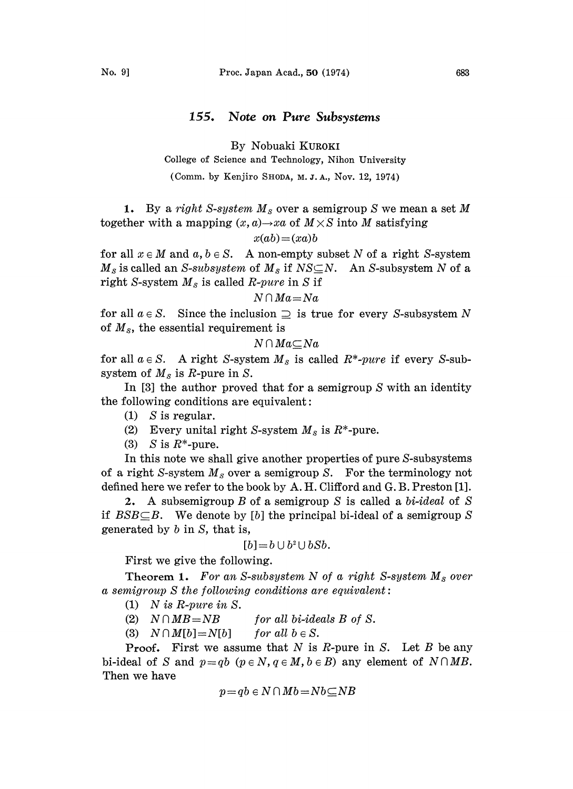# 155. Note on Pure Subsystems

By Nobuaki KUROKI

College of Science and Technology, Nihon University

(Comm. by Kenjiro SHODA, M.J.A., NOV. 12, 1974)

1. By a right S-system  $M<sub>S</sub>$  over a semigroup S we mean a set M together with a mapping  $(x, a) \rightarrow xa$  of  $M \times S$  into M satisfying

$$
x(ab) = (xa)b
$$

for all  $x \in M$  and  $a, b \in S$ . A non-empty subset N of a right S-system  $M_s$  is called an S-subsystem of  $M_s$  if  $NS\subseteq N$ . An S-subsystem N of a right S-system  $M_s$  is called R-pure in S if

 $N \cap Ma = Na$ 

for all  $a \in S$ . Since the inclusion  $\supseteq$  is true for every S-subsystem N of  $M_s$ , the essential requirement is

$$
N\cap Ma\subseteq Na
$$

for all  $a \in S$ . A right S-system  $M_s$  is called  $R^*$ -pure if every S-subsystem of  $M_s$  is R-pure in S.

In [3] the author proved that for a semigroup S with an identity the following conditions are equivalent:

(1) S is regular.

(2) Every unital right S-system  $M_s$  is  $R^*$ -pure.

(3) S is  $R^*$ -pure.

In this note we shall give another properties of pure S-subsystems of a right S-system  $M_s$  over a semigroup S. For the terminology not defined here we refer to the book by A. H. Clifford and G. B. Preston [1].

2. A subsemigroup B of a semigroup S is called a bi-ideal of S if  $BSB \subseteq B$ . We denote by [b] the principal bi-ideal of a semigroup S generated by  $b$  in  $S$ , that is,

$$
[b]=b\cup b^2\cup bSb.
$$

First we give the following.

Theorem 1. For an S-subsystem N of a right S-system  $M_s$  over  $a$  semigroup  $S$  the following conditions are equivalent:

(1) N is R-pure in S.

(2)  $N \cap MB = NB$  for all bi-ideals B of S.

(3)  $N \cap M[b] = N[b]$  for all  $b \in S$ .

**Proof.** First we assume that N is R-pure in S. Let B be any bi-ideal of S and  $p = qb$   $(p \in N, q \in M, b \in B)$  any element of  $N \cap MB$ . Then we have

$$
p = qb \in N \cap Mb = Nb \subseteq NB
$$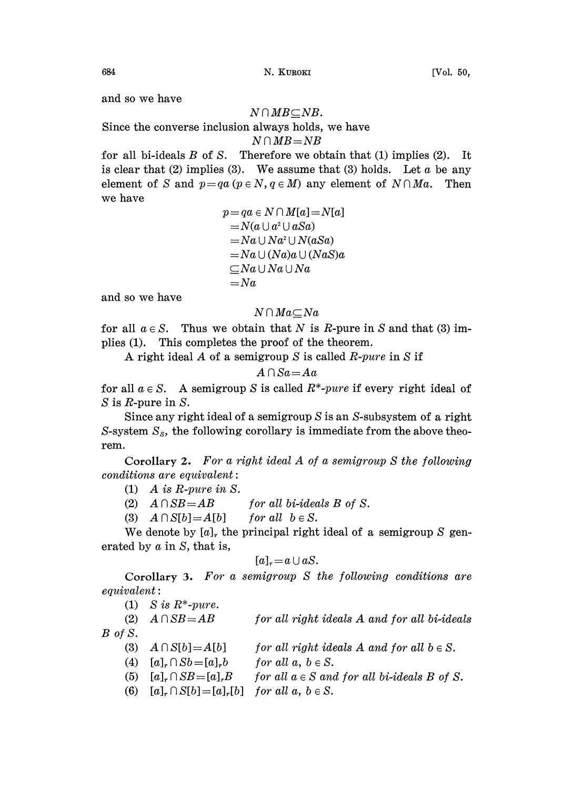and so we have

### $N \cap MB \subseteq NB$ .

Since the converse inclusion always holds, we have

$$
N\cap MB\!=\!NB
$$

for all bi-ideals  $B$  of  $S$ . Therefore we obtain that (1) implies (2). It is clear that (2) implies (3). We assume that (3) holds. Let  $\alpha$  be any element of S and  $p=qa$  ( $p \in N$ ,  $q \in M$ ) any element of  $N \cap Ma$ . Then we have

$$
p = qa \in N \cap M[a] = N[a]
$$
  
=  $N(a \cup a^2 \cup aSa)$   
=  $Na \cup Na^2 \cup N(aSa)$   
=  $Na \cup (Na)a \cup (NaS)a$   
 $\subseteq Na \cup Na \cup Na$   
=  $Na$ 

and so we have

## $N \cap Ma \subset Na$

for all  $a \in S$ . Thus we obtain that N is R-pure in S and that (3) implies (1). This completes the proof of the theorem.

A right ideal A of a semigroup S is called R-pure in S if

$$
A \cap Sa = Aa
$$

for all  $a \in S$ . A semigroup S is called  $R^*$ -pure if every right ideal of S is R-pure in S.

Since any right ideal of a semigroup  $S$  is an  $S$ -subsystem of a right S-system  $S_s$ , the following corollary is immediate from the above theorem.

Corollary 2. For <sup>a</sup> right ideal A of <sup>a</sup> semigroup S the following  $conditions$  are equivalent:

- (1) A is R-pure in S.
- (2)  $A \cap SB = AB$  for all bi-ideals B of S.
- (3)  $A \cap S[b] = A[b]$  for all  $b \in S$ .

We denote by  $[a]_r$ , the principal right ideal of a semigroup S generated by a in S, that is,

$$
[a]_r = a \cup aS.
$$

Corollary 3. For a semigroup  $S$  the following conditions are  $equivalent:$ 

(1) S is  $R^*$ -pure.

|  | (2) $A \cap SB = AB$ |  | for all right ideals A and for all bi-ideals |
|--|----------------------|--|----------------------------------------------|
|--|----------------------|--|----------------------------------------------|

 $B$  of  $S$ .

- (3)  $A \cap S[b] = A[b]$ for all right ideals  $A$  and for all  $b \in S$ .
- (4)  $[a]_r \cap Sb = [a]_r b$ for all  $a, b \in S$ .
- (5)  $[a]_r \cap SB = [a]_r B$ for all  $a \in S$  and for all bi-ideals B of S.
- (6)  $[a]_r \cap S[b] = [a]_r[b]$  for all  $a, b \in S$ .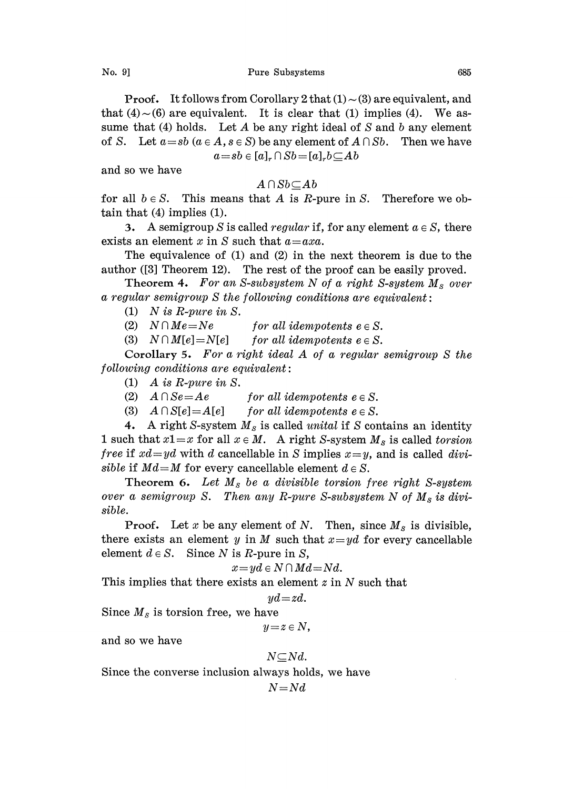**Proof.** It follows from Corollary 2 that  $(1) \sim (3)$  are equivalent, and that  $(4)$  ~  $(6)$  are equivalent. It is clear that (1) implies (4). We assume that (4) holds. Let A be any right ideal of S and b any element of S. Let  $a=sb$   $(a \in A, s \in S)$  be any element of  $A \cap Sb$ . Then we have  $a=sb \in [a]_r \cap Sb=[a]_r b \subseteq Ab$ 

and so we have

# $A \cap Sb \subseteq Ab$

for all  $b \in S$ . This means that A is R-pure in S. Therefore we obtain that  $(4)$  implies  $(1)$ .

3. A semigroup S is called *regular* if, for any element  $a \in S$ , there exists an element x in S such that  $a = axa$ .

The equivalence of  $(1)$  and  $(2)$  in the next theorem is due to the author ([3] Theorem 12). The rest of the proof can be easily proved.

Theorem 4. For an S-subsystem N of a right S-system  $M_s$  over a regular semigroup  $S$  the following conditions are equivalent:

(1) N is R-pure in S.

(2)  $N \cap Me = Ne$  for all idempotents  $e \in S$ .

(3)  $N \cap M[e] = N[e]$  for all idempotents  $e \in S$ .

Corollary 5. For <sup>a</sup> right ideal A of <sup>a</sup> regular semigroup S the  $following conditions are equivalent:$ 

- (1) A is R-pure in  $S$ .
- (2)  $A \cap Se = Ae$  for all idempotents  $e \in S$ .
- (3)  $A \cap S[e] = A[e]$  for all idempotents  $e \in S$ .

4. A right S-system  $M_s$  is called unital if S contains an identity 1 such that  $x1=x$  for all  $x \in M$ . A right S-system  $M_s$  is called torsion *free* if  $xd=yd$  with d cancellable in S implies  $x=y$ , and is called divisible if  $Md=M$  for every cancellable element  $d \in S$ .

Theorem 6. Let  $M_s$  be a divisible torsion free right S-system over a semigroup S. Then any R-pure S-subsystem N of  $M_s$  is divisible.

**Proof.** Let x be any element of N. Then, since  $M_s$  is divisible, there exists an element y in M such that  $x=yd$  for every cancellable element  $d \in S$ . Since N is R-pure in S,

$$
x=yd\in N\cap Md=Nd.
$$

This implies that there exists an element z in N such that

$$
yd\!=\!zd.
$$

Since  $M_s$  is torsion free, we have

$$
y\!=\!z\in N,
$$

and so we have

$$
N{\subseteq}Nd.
$$

Since the converse inclusion always holds, we have

```
N = Nd
```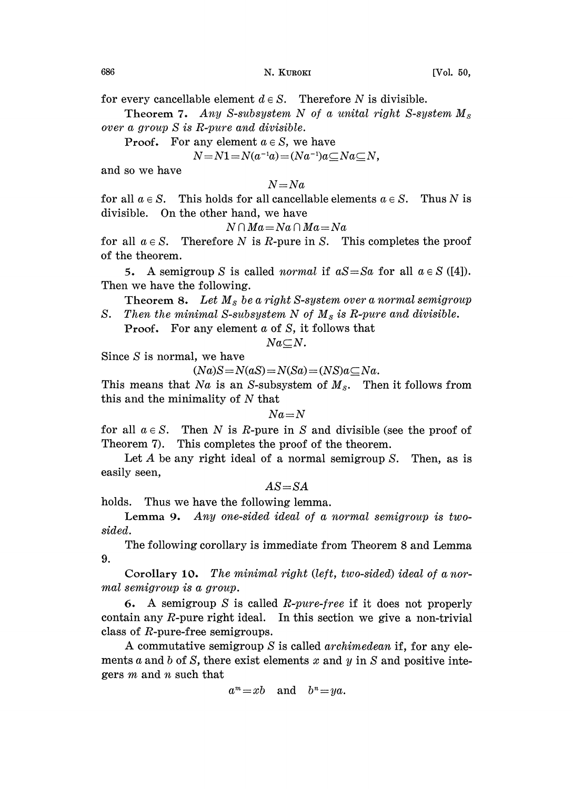Theorem 7. Any S-subsystem N of a unital right S-system  $M_s$ over a group S is R-pure and divisible.

**Proof.** For any element  $a \in S$ , we have

$$
N = N1 = N(a^{-1}a) = (Na^{-1})a \subseteq Na \subseteq N,
$$

and so we have

 $N=Na$ 

for all  $a \in S$ . This holds for all cancellable elements  $a \in S$ . Thus N is divisible. On the other hand, we have

$$
N \cap Ma = Na \cap Ma = Na
$$

for all  $a \in S$ . Therefore N is R-pure in S. This completes the proof of the theorem.

5. A semigroup S is called *normal* if  $aS = Sa$  for all  $a \in S$  ([4]). Then we have the following.

Theorem 8. Let  $M_s$  be a right S-system over a normal semigroup S. Then the minimal S-subsystem N of  $M_s$  is R-pure and divisible.

**Proof.** For any element  $\alpha$  of  $S$ , it follows that

 $Na\subseteq N$ .

Since  $S$  is normal, we have

 $(Na)S = N(aS) = N(Sa) = (NS)a\square Na.$ 

This means that Na is an S-subsystem of  $M_s$ . Then it follows from this and the minimality of  $N$  that

 $Na = N$ 

for all  $a \in S$ . Then N is R-pure in S and divisible (see the proof of Theorem 7). This completes the proof of the theorem.

Let  $A$  be any right ideal of a normal semigroup  $S$ . Then, as is easily seen,

 $AS = SA$ 

holds. Thus we have the following lemma.

Lemma 9. Any one-sided ideal of a normal semigroup is twosided.

The following corollary is immediate from Theorem 8 and Lemma 9.

Corollary 10. The minimal right (left, two-sided) ideal of a normal semigroup is a group.

6. A semigroup S is called R-pure-free if it does not properly contain any  $R$ -pure right ideal. In this section we give a non-trivial class of  $R$ -pure-free semigroups.

A commutative semigroup  $S$  is called *archimedean* if, for any elements a and b of S, there exist elements x and y in S and positive integers  $m$  and  $n$  such that

 $a^m=xb$  and  $b^n=ya$ .